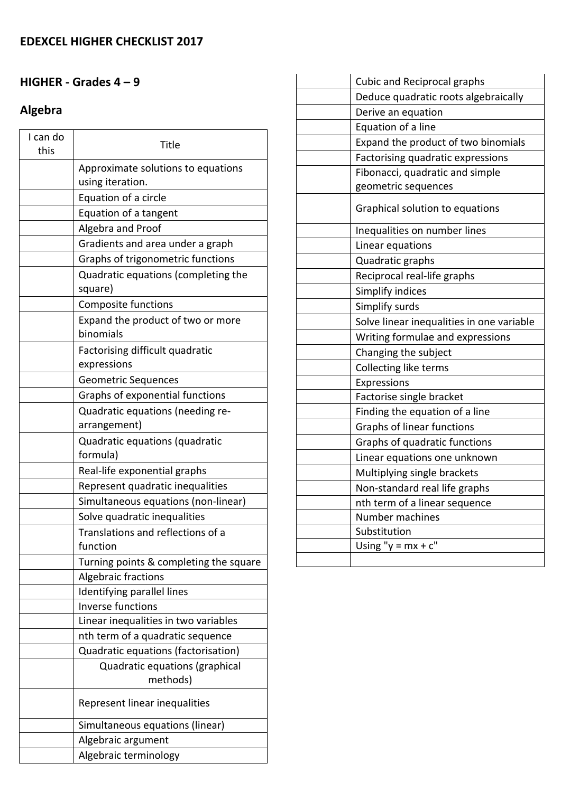### **HIGHER ‐ Grades 4 – 9**

# **Algebra**

| I can do<br>this | Title                                                  |
|------------------|--------------------------------------------------------|
|                  | Approximate solutions to equations<br>using iteration. |
|                  | Equation of a circle                                   |
|                  | Equation of a tangent                                  |
|                  | Algebra and Proof                                      |
|                  | Gradients and area under a graph                       |
|                  | Graphs of trigonometric functions                      |
|                  | Quadratic equations (completing the                    |
|                  | square)                                                |
|                  | Composite functions                                    |
|                  | Expand the product of two or more<br>binomials         |
|                  | Factorising difficult quadratic<br>expressions         |
|                  | <b>Geometric Sequences</b>                             |
|                  | Graphs of exponential functions                        |
|                  | Quadratic equations (needing re-                       |
|                  | arrangement)                                           |
|                  | Quadratic equations (quadratic<br>formula)             |
|                  | Real-life exponential graphs                           |
|                  | Represent quadratic inequalities                       |
|                  | Simultaneous equations (non-linear)                    |
|                  | Solve quadratic inequalities                           |
|                  | Translations and reflections of a<br>function          |
|                  | Turning points & completing the square                 |
|                  | Algebraic fractions                                    |
|                  | Identifying parallel lines                             |
|                  | Inverse functions                                      |
|                  | Linear inequalities in two variables                   |
|                  | nth term of a quadratic sequence                       |
|                  | Quadratic equations (factorisation)                    |
|                  | Quadratic equations (graphical<br>methods)             |
|                  | Represent linear inequalities                          |
|                  | Simultaneous equations (linear)                        |
|                  | Algebraic argument                                     |
|                  | Algebraic terminology                                  |

| <b>Cubic and Reciprocal graphs</b>        |
|-------------------------------------------|
| Deduce quadratic roots algebraically      |
| Derive an equation                        |
| Equation of a line                        |
| Expand the product of two binomials       |
| Factorising quadratic expressions         |
| Fibonacci, quadratic and simple           |
| geometric sequences                       |
| Graphical solution to equations           |
| Inequalities on number lines              |
| Linear equations                          |
| Quadratic graphs                          |
| Reciprocal real-life graphs               |
| Simplify indices                          |
| Simplify surds                            |
| Solve linear inequalities in one variable |
| Writing formulae and expressions          |
| Changing the subject                      |
| Collecting like terms                     |
| Expressions                               |
| Factorise single bracket                  |
| Finding the equation of a line            |
| Graphs of linear functions                |
| Graphs of quadratic functions             |
| Linear equations one unknown              |
| Multiplying single brackets               |
| Non-standard real life graphs             |
| nth term of a linear sequence             |
| Number machines                           |
| Substitution                              |
| Using " $y = mx + c$ "                    |
|                                           |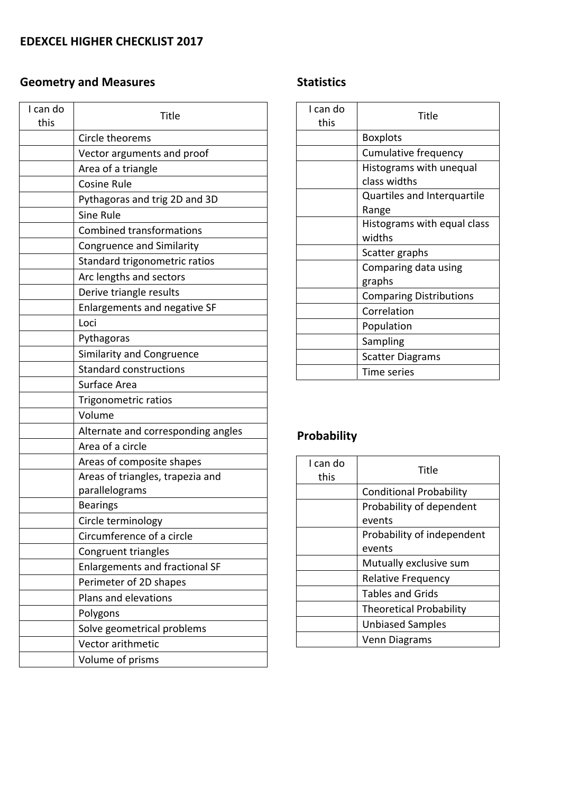# **Geometry and Measures**

| I can do<br>this | Title                                 |
|------------------|---------------------------------------|
|                  | Circle theorems                       |
|                  | Vector arguments and proof            |
|                  | Area of a triangle                    |
|                  | <b>Cosine Rule</b>                    |
|                  | Pythagoras and trig 2D and 3D         |
|                  | Sine Rule                             |
|                  | <b>Combined transformations</b>       |
|                  | <b>Congruence and Similarity</b>      |
|                  | Standard trigonometric ratios         |
|                  | Arc lengths and sectors               |
|                  | Derive triangle results               |
|                  | Enlargements and negative SF          |
|                  | Loci                                  |
|                  | Pythagoras                            |
|                  | <b>Similarity and Congruence</b>      |
|                  | <b>Standard constructions</b>         |
|                  | Surface Area                          |
|                  | Trigonometric ratios                  |
|                  | Volume                                |
|                  | Alternate and corresponding angles    |
|                  | Area of a circle                      |
|                  | Areas of composite shapes             |
|                  | Areas of triangles, trapezia and      |
|                  | parallelograms                        |
|                  | <b>Bearings</b>                       |
|                  | Circle terminology                    |
|                  | Circumference of a circle             |
|                  | Congruent triangles                   |
|                  | <b>Enlargements and fractional SF</b> |
|                  | Perimeter of 2D shapes                |
|                  | Plans and elevations                  |
|                  | Polygons                              |
|                  | Solve geometrical problems            |
|                  | Vector arithmetic                     |
|                  | Volume of prisms                      |

### **Statistics**

| I can do<br>this | Title                              |
|------------------|------------------------------------|
|                  | <b>Boxplots</b>                    |
|                  | Cumulative frequency               |
|                  | Histograms with unequal            |
|                  | class widths                       |
|                  | <b>Quartiles and Interquartile</b> |
|                  | Range                              |
|                  | Histograms with equal class        |
|                  | widths                             |
|                  | Scatter graphs                     |
|                  | Comparing data using               |
|                  | graphs                             |
|                  | <b>Comparing Distributions</b>     |
|                  | Correlation                        |
|                  | Population                         |
|                  | Sampling                           |
|                  | <b>Scatter Diagrams</b>            |
|                  | Time series                        |

# **Probability**

| I can do<br>this | Title                          |
|------------------|--------------------------------|
|                  | <b>Conditional Probability</b> |
|                  | Probability of dependent       |
|                  | events                         |
|                  | Probability of independent     |
|                  | events                         |
|                  | Mutually exclusive sum         |
|                  | <b>Relative Frequency</b>      |
|                  | <b>Tables and Grids</b>        |
|                  | <b>Theoretical Probability</b> |
|                  | <b>Unbiased Samples</b>        |
|                  | Venn Diagrams                  |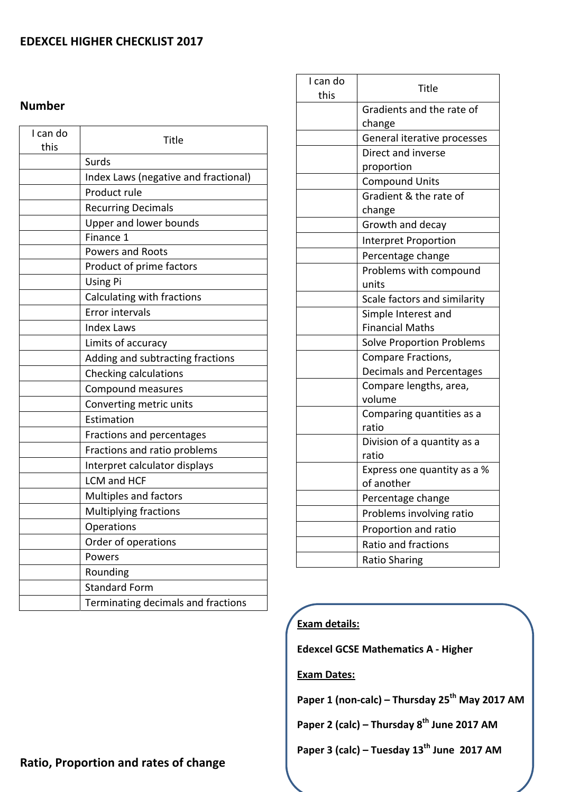#### **EDEXCEL HIGHER CHECKLIST 2017**

#### **Number**

| I can do<br>this | <b>Title</b>                         |
|------------------|--------------------------------------|
|                  | Surds                                |
|                  | Index Laws (negative and fractional) |
|                  | Product rule                         |
|                  | <b>Recurring Decimals</b>            |
|                  | Upper and lower bounds               |
|                  | Finance 1                            |
|                  | <b>Powers and Roots</b>              |
|                  | Product of prime factors             |
|                  | <b>Using Pi</b>                      |
|                  | Calculating with fractions           |
|                  | <b>Error intervals</b>               |
|                  | <b>Index Laws</b>                    |
|                  | Limits of accuracy                   |
|                  | Adding and subtracting fractions     |
|                  | Checking calculations                |
|                  | Compound measures                    |
|                  | Converting metric units              |
|                  | Estimation                           |
|                  | Fractions and percentages            |
|                  | Fractions and ratio problems         |
|                  | Interpret calculator displays        |
|                  | LCM and HCF                          |
|                  | Multiples and factors                |
|                  | Multiplying fractions                |
|                  | Operations                           |
|                  | Order of operations                  |
|                  | Powers                               |
|                  | Rounding                             |
|                  | <b>Standard Form</b>                 |
|                  | Terminating decimals and fractions   |

| I can do<br>this | <b>Title</b>                              |
|------------------|-------------------------------------------|
|                  | Gradients and the rate of<br>change       |
|                  | General iterative processes               |
|                  | Direct and inverse                        |
|                  | proportion                                |
|                  | <b>Compound Units</b>                     |
|                  | Gradient & the rate of                    |
|                  | change                                    |
|                  | Growth and decay                          |
|                  | Interpret Proportion                      |
|                  | Percentage change                         |
|                  | Problems with compound                    |
|                  | units                                     |
|                  | Scale factors and similarity              |
|                  | Simple Interest and                       |
|                  | <b>Financial Maths</b>                    |
|                  | <b>Solve Proportion Problems</b>          |
|                  | Compare Fractions,                        |
|                  | <b>Decimals and Percentages</b>           |
|                  | Compare lengths, area,                    |
|                  | volume                                    |
|                  | Comparing quantities as a                 |
|                  | ratio                                     |
|                  | Division of a quantity as a               |
|                  | ratio                                     |
|                  | Express one quantity as a %<br>of another |
|                  | Percentage change                         |
|                  |                                           |
|                  | Problems involving ratio                  |
|                  | Proportion and ratio                      |
|                  | <b>Ratio and fractions</b>                |
|                  | <b>Ratio Sharing</b>                      |

#### **Exam details:**

**Edexcel GCSE Mathematics A ‐ Higher**

**Exam Dates:** 

**Paper 1 (non‐calc) – Thursday 25th May 2017 AM**

**Paper 2 (calc) – Thursday 8th June 2017 AM**

**Paper 3 (calc) – Tuesday 13th June 2017 AM**